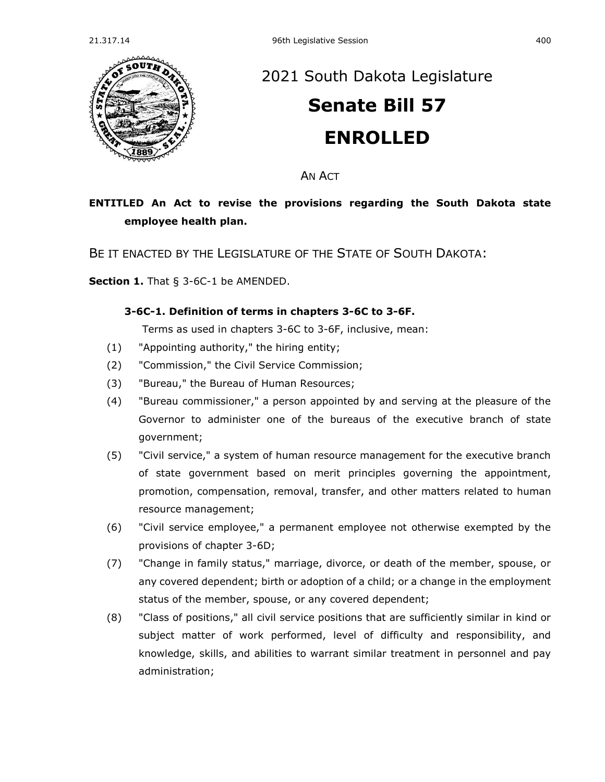

## [2021 South Dakota Legislature](https://sdlegislature.gov/Session/Bills/44)

# **[Senate Bill 57](https://sdlegislature.gov/Session/Bill/22037) ENROLLED**

AN ACT

### **ENTITLED An Act to revise the provisions regarding the South Dakota state employee health plan.**

BE IT ENACTED BY THE LEGISLATURE OF THE STATE OF SOUTH DAKOTA:

**Section 1.** [That § 3-6C-1 be AMENDED.](https://sdlegislature.gov/Statutes/Codified_Laws/DisplayStatute.aspx?Type=Statute&Statute=3-6C-1)

#### **[3-6C-1. D](https://sdlegislature.gov/Statutes/Codified_Laws/DisplayStatute.aspx?Type=Statute&Statute=3-6C-1)efinition of terms in chapters [3-6C](https://sdlegislature.gov/Statutes/Codified_Laws/DisplayStatute.aspx?Type=Statute&Statute=3-6C) to [3-6F.](https://sdlegislature.gov/Statutes/Codified_Laws/DisplayStatute.aspx?Type=Statute&Statute=3-6F)**

Terms as used in chapters [3-6C](https://sdlegislature.gov/Statutes/Codified_Laws/DisplayStatute.aspx?Type=Statute&Statute=3-6C) to [3-6F,](https://sdlegislature.gov/Statutes/Codified_Laws/DisplayStatute.aspx?Type=Statute&Statute=3-6F) inclusive, mean:

- (1) "Appointing authority," the hiring entity;
- (2) "Commission," the Civil Service Commission;
- (3) "Bureau," the Bureau of Human Resources;
- (4) "Bureau commissioner," a person appointed by and serving at the pleasure of the Governor to administer one of the bureaus of the executive branch of state government;
- (5) "Civil service," a system of human resource management for the executive branch of state government based on merit principles governing the appointment, promotion, compensation, removal, transfer, and other matters related to human resource management;
- (6) "Civil service employee," a permanent employee not otherwise exempted by the provisions of chapter [3-6D;](https://sdlegislature.gov/Statutes/Codified_Laws/DisplayStatute.aspx?Type=Statute&Statute=3-6D)
- (7) "Change in family status," marriage, divorce, or death of the member, spouse, or any covered dependent; birth or adoption of a child; or a change in the employment status of the member, spouse, or any covered dependent;
- (8) "Class of positions," all civil service positions that are sufficiently similar in kind or subject matter of work performed, level of difficulty and responsibility, and knowledge, skills, and abilities to warrant similar treatment in personnel and pay administration;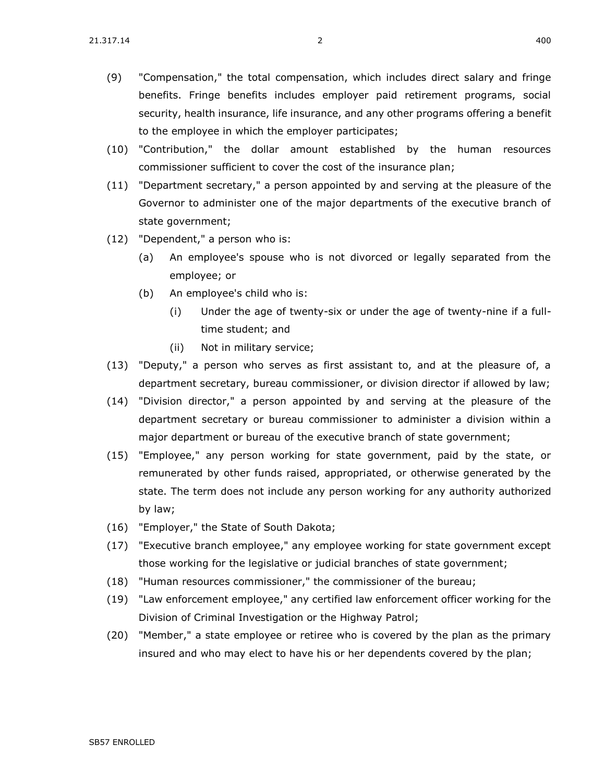- (9) "Compensation," the total compensation, which includes direct salary and fringe benefits. Fringe benefits includes employer paid retirement programs, social security, health insurance, life insurance, and any other programs offering a benefit to the employee in which the employer participates;
- (10) "Contribution," the dollar amount established by the human resources commissioner sufficient to cover the cost of the insurance plan;
- (11) "Department secretary," a person appointed by and serving at the pleasure of the Governor to administer one of the major departments of the executive branch of state government;
- (12) "Dependent," a person who is:
	- (a) An employee's spouse who is not divorced or legally separated from the employee; or
	- (b) An employee's child who is:
		- (i) Under the age of twenty-six or under the age of twenty-nine if a fulltime student; and
		- (ii) Not in military service;
- (13) "Deputy," a person who serves as first assistant to, and at the pleasure of, a department secretary, bureau commissioner, or division director if allowed by law;
- (14) "Division director," a person appointed by and serving at the pleasure of the department secretary or bureau commissioner to administer a division within a major department or bureau of the executive branch of state government;
- (15) "Employee," any person working for state government, paid by the state, or remunerated by other funds raised, appropriated, or otherwise generated by the state. The term does not include any person working for any authority authorized by law;
- (16) "Employer," the State of South Dakota;
- (17) "Executive branch employee," any employee working for state government except those working for the legislative or judicial branches of state government;
- (18) "Human resources commissioner," the commissioner of the bureau;
- (19) "Law enforcement employee," any certified law enforcement officer working for the Division of Criminal Investigation or the Highway Patrol;
- (20) "Member," a state employee or retiree who is covered by the plan as the primary insured and who may elect to have his or her dependents covered by the plan;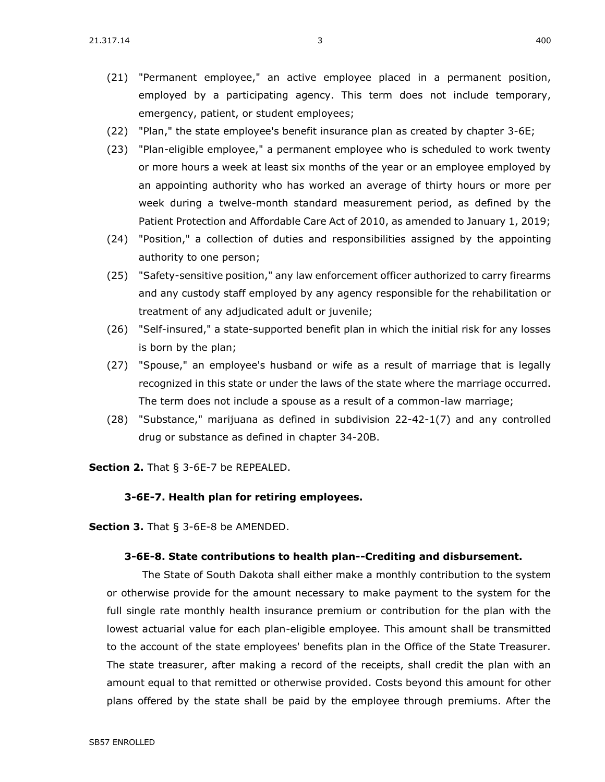- (21) "Permanent employee," an active employee placed in a permanent position, employed by a participating agency. This term does not include temporary, emergency, patient, or student employees;
- (22) "Plan," the state employee's benefit insurance plan as created by chapter [3-6E;](https://sdlegislature.gov/Statutes/Codified_Laws/DisplayStatute.aspx?Type=Statute&Statute=3-6E)
- (23) "Plan-eligible employee," a permanent employee who is scheduled to work twenty or more hours a week at least six months of the year or an employee employed by an appointing authority who has worked an average of thirty hours or more per week during a twelve-month standard measurement period, as defined by the Patient Protection and Affordable Care Act of 2010, as amended to January 1, 2019;
- (24) "Position," a collection of duties and responsibilities assigned by the appointing authority to one person;
- (25) "Safety-sensitive position," any law enforcement officer authorized to carry firearms and any custody staff employed by any agency responsible for the rehabilitation or treatment of any adjudicated adult or juvenile;
- (26) "Self-insured," a state-supported benefit plan in which the initial risk for any losses is born by the plan;
- (27) "Spouse," an employee's husband or wife as a result of marriage that is legally recognized in this state or under the laws of the state where the marriage occurred. The term does not include a spouse as a result of a common-law marriage;
- (28) "Substance," marijuana as defined in subdivision [22-42-1\(](https://sdlegislature.gov/Statutes/Codified_Laws/DisplayStatute.aspx?Type=Statute&Statute=22-42-1)7) and any controlled drug or substance as defined in chapter [34-20B.](https://sdlegislature.gov/Statutes/Codified_Laws/DisplayStatute.aspx?Type=Statute&Statute=34-20B)

**Section 2.** [That § 3-6E-7 be REPEALED.](https://sdlegislature.gov/Statutes/Codified_Laws/DisplayStatute.aspx?Type=Statute&Statute=3-6E-7)

#### **[3-6E-7. H](https://sdlegislature.gov/Statutes/Codified_Laws/DisplayStatute.aspx?Type=Statute&Statute=3-6E-7)ealth plan for retiring employees.**

**Section 3.** [That § 3-6E-8 be AMENDED.](https://sdlegislature.gov/Statutes/Codified_Laws/DisplayStatute.aspx?Type=Statute&Statute=3-6E-8)

#### **[3-6E-8. S](https://sdlegislature.gov/Statutes/Codified_Laws/DisplayStatute.aspx?Type=Statute&Statute=3-6E-8)tate contributions to health plan--Crediting and disbursement.**

The State of South Dakota shall either make a monthly contribution to the system or otherwise provide for the amount necessary to make payment to the system for the full single rate monthly health insurance premium or contribution for the plan with the lowest actuarial value for each plan-eligible employee. This amount shall be transmitted to the account of the state employees' benefits plan in the Office of the State Treasurer. The state treasurer, after making a record of the receipts, shall credit the plan with an amount equal to that remitted or otherwise provided. Costs beyond this amount for other plans offered by the state shall be paid by the employee through premiums. After the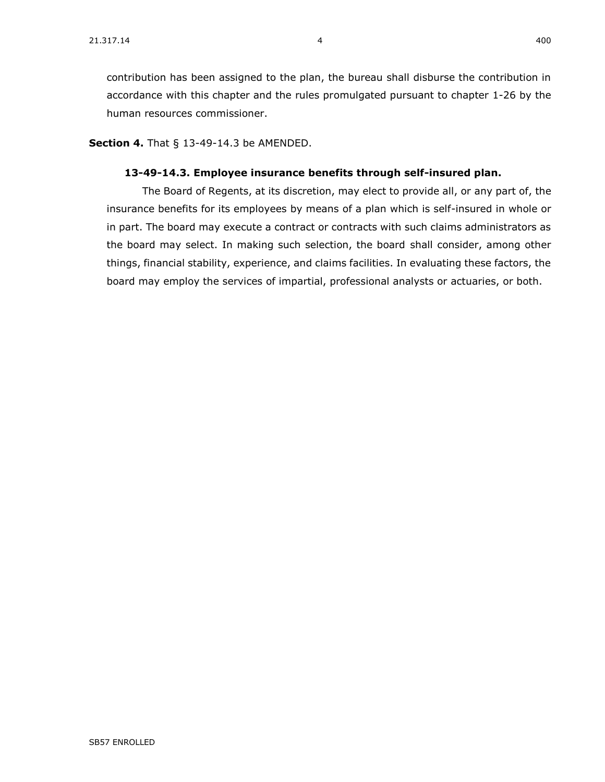**Section 4.** [That § 13-49-14.3 be AMENDED.](https://sdlegislature.gov/Statutes/Codified_Laws/DisplayStatute.aspx?Type=Statute&Statute=13-49-14.3)

#### **[13-49-14.3. E](https://sdlegislature.gov/Statutes/Codified_Laws/DisplayStatute.aspx?Type=Statute&Statute=13-49-14.3)mployee insurance benefits through self-insured plan.**

The Board of Regents, at its discretion, may elect to provide all, or any part of, the insurance benefits for its employees by means of a plan which is self-insured in whole or in part. The board may execute a contract or contracts with such claims administrators as the board may select. In making such selection, the board shall consider, among other things, financial stability, experience, and claims facilities. In evaluating these factors, the board may employ the services of impartial, professional analysts or actuaries, or both.